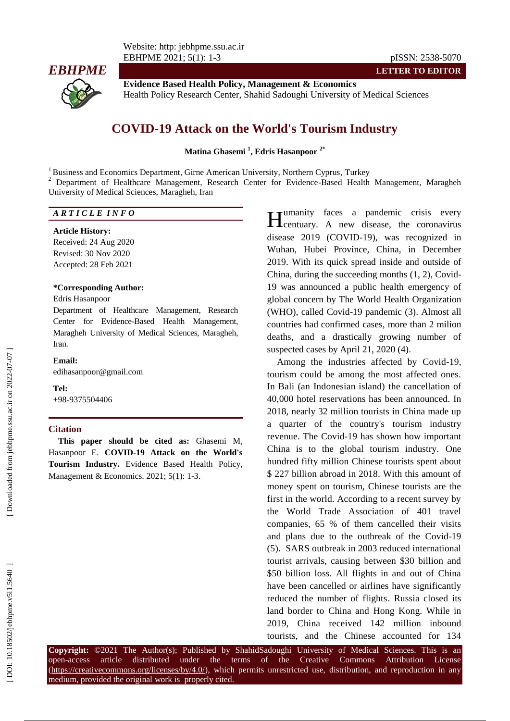

**Evidence Based Health Policy, Management & Economics** Health Policy Research Center, Shahid Sadoughi University of Medical Sciences

# **COVID -19 Attack on the World's Tourism Industry**

**Matina Ghasemi 1 , Edris Hasanpoor 2\***

<sup>1</sup> Business and Economics Department, Girne American University, Northern Cyprus, Turkey

<sup>2</sup> Department of Healthcare Management, Research Center for Evidence-Based Health Management, Maragheh University of Medical Sciences, Maragheh, Iran

### *A R T I C L E I N F O*

#### **Article History:**

Received: 24 Aug 2020 Revised: 30 Nov 2020 Accepted: 28 Feb 202 1

### **\*Corresponding Author:**

### Edris Hasanpoor

Department of Healthcare Management, Research Center for Evidence -Based Health Management, Maragheh University of Medical Sciences, Maragheh, Iran .

#### **Email:**

edihasanpoor@gmail.com

# **Tel:**

+98 -9375504406

#### **Citation**

**This paper should be cited as:** Ghasemi M, Hasanpoor E. **COVID -19 Attack on the World's Tourism Industry .** Evidence Based Health Policy, Management & Economics. 2021; 5(1): 1-3.

**The Tumanity** faces a pandemic crisis every centuary. A new disease, the coronavirus disease 2019 (COVID -19), was recognized in Wuhan, Hubei Province, China, in December 2019. With its quick spread inside and outside of China, during the succeeding months (1, 2), Covid - 19 was announced a public health emergency of global concern by The World Health Organization (WHO), called Covid -19 pandemic (3). Almost all countries had confirmed cases, more than 2 milion deaths, and a drastically growing number of suspected cases by April 21, 2020 (4) .

Among the industries affected by Covid -19, tourism could be among the most affected ones. In Bali (an Indonesian island) the cancellation of 40,000 hotel reservations has been announced. In 2018, nearly 32 million tourists in China made up a quarter of the country's tourism industry revenue. The Covid -19 has shown how important China is to the global tourism industry. One hundred fifty million Chinese tourists spent about \$ 227 billion abroad in 2018. With this amount of money spent on tourism, Chinese tourists are the first in the world. According to a recent survey by the World Trade Association of 401 travel companies, 65 % of them cancelled their visits and plans due to the outbreak of the Covid -19 (5). SARS outbreak in 2003 reduced international tourist arrivals, causing between \$30 billion and \$50 billion loss. All flights in and out of China have been cancelled or [airlines have significantly](https://www.cnn.com/2020/01/29/business/british-airways-coronavirus/index.html)  [reduced the number of flights](https://www.cnn.com/2020/01/29/business/british-airways-coronavirus/index.html) . [Russia closed its](https://www.bloomberg.com/news/articles/2020-01-30/russia-closing-border-with-china-to-affect-people-not-goods)  [land border to C](https://www.bloomberg.com/news/articles/2020-01-30/russia-closing-border-with-china-to-affect-people-not-goods)hina and Hong Kong. While in 2019, China received [142 million inbound](https://www.china-mike.com/china-travel-tips/china-tourism-statistics/)  **Hemanity** faces a pandemic crisis every<br>disease 2019 (COVID-19), was recognaries were disease, the coronavirus<br>Wuhan, Hubei Province, China, in December<br>2019. With its quick spread inside and outside of<br>China, during the

**Copyright:** ©202 1 The Author(s); Published by ShahidSadoughi University of Medical Sciences. This is an open-access -access article distributed under the terms of the Creative Commons Attribution License (https://creativecommons.org/licenses/by/4.0/), which permits unrestricted use, distribution, and reproduction in any medium, provided the original work is properly cited.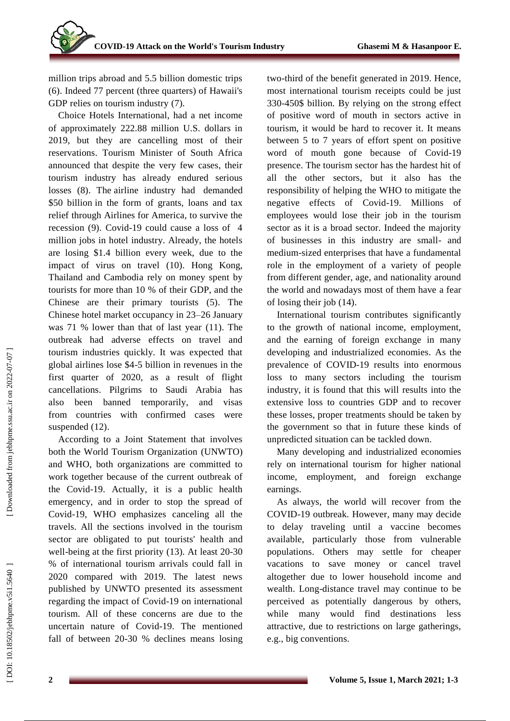[million trips abroad and 5.5 billion domestic trips](https://www.china-mike.com/china-travel-tips/china-tourism-statistics/)  (6) . Indeed 77 percent (three quarters) of Hawaii's GDP relies on tourism industry  $(7)$ .

Choice Hotels International, had a net income of approximately 222.88 million U.S. dollars in 2019, but they are cancelling most of their reservations. Tourism Minister of South Africa announced that despite the very few cases, their tourism industry has already endured serious losses (8). The airline industry had [demanded](https://thehill.com/business-a-lobbying/business-a-lobbying/487820-airline-industry-calls-for-25b-in-assistance-for)  [\\$50 billion](https://thehill.com/business-a-lobbying/business-a-lobbying/487820-airline-industry-calls-for-25b-in-assistance-for) in the form of grants, loans and tax relief through Airlines for America, to survive the recession (9 ). Covid -19 could cause a loss of 4 million jobs in hotel industry. Already, the hotels are losing \$1.4 billion every week, due to the impact of virus on travel (10). Hong Kong, Thailand and Cambodia rely on money spent by tourists for more than 10 % of their GDP, and the Chinese are their primary tourists (5). The Chinese hotel market occupancy in 23 –26 January was 71 % lower than that of last year (11). The outbreak had adverse effects on travel and tourism industries quickly. It was expected that global airlines lose \$4 -5 billion in revenues in the first quarter of 2020, as a result of flight cancellations. Pilgrims to Saudi Arabia has also been banned temporarily, and visas from countries with confirmed cases were suspended  $(12)$ .

According to a Joint Statement that involves both the World Tourism Organization (UNWTO) and WHO, both organizations are committed to work together because of the current outbreak of the Covid -19. Actually, it is a public health emergency, and in order to stop the spread of Covid -19, WHO emphasizes canceling all the travels. All the sections involved in the tourism sector are obligated to put tourists' health and well-being at the first priority (13). At least 20-30 % of international tourism arrivals could fall in 2020 compared with 2019. The latest news published by UNWTO presented its assessment regarding the impact of Covid -19 on international tourism. All of these concerns are due to the uncertain nature of Covid -19. The mentioned fall of between 20 -30 % declines means losing

two -third of the benefit generated in 2019. Hence, most international tourism receipts could be just 330 -450\$ billion. By relying on the strong effect of positive word of mouth in sectors active in tourism, it would be hard to recover it. It means between 5 to 7 years of effort spent on positive word of mouth gone because of Covid -19 presence. The tourism sector has the hardest hit of all the other sectors, but it also has the responsibility of helping the WHO to mitigate the negative effects of Covid -19. Millions of employees would lose their job in the tourism sector as it is a broad sector. Indeed the majority of businesses in this industry are small - and medium -sized enterprises that have a fundamental role in the employment of a variety of people from different gender, age, and nationality around the world and nowadays most of them have a fear of losing their job (14).

International tourism contributes significantly to the growth of national income, employment, and the earning of foreign exchange in many developing and industrialized economies. As the prevalence of COVID -19 results into enormous loss to many sectors including the tourism industry, it is found that this will results into the extensive loss to countries GDP and to recover these losses, proper treatments should be taken by the government so that in future these kind s of unpredicted situation can be tackled down.

Many developing and industrialized economies rely on international tourism for higher national income, employment, and foreign exchange earnings.

As always, the world will recover from the COVID -19 outbreak. However, many may decide to delay traveling until a vaccine becomes available, particularly those from vulnerable populations. Others may settle for cheaper vacations to save money or cancel travel altogether due to lower household income and wealth. Long -distance travel may continue to be perceived as potentially dangerous by others, while many would find destinations less attractive, due to restrictions on large gatherings, e.g., big conventions.